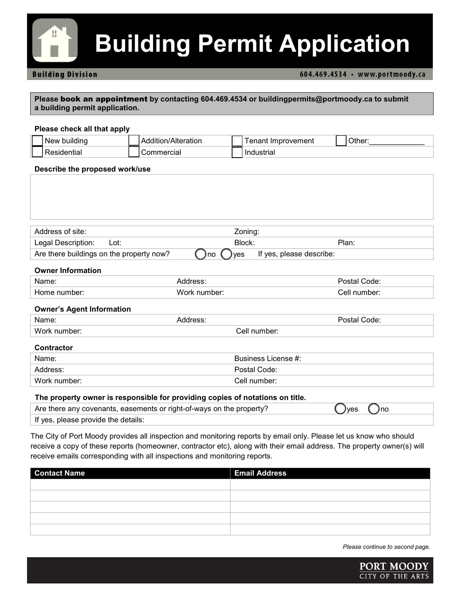

## **Building Permit Application**

#### **Building Division**

#### 604.469.4534 · www.portmoody.ca

**Please** book an appointment **by contacting 604.469.4534 or buildingpermits@portmoody.ca to submit a building permit application.**

#### **Please check all that apply**

| buildinc<br>New | $\lambda$ lianatian<br>ratior | provement | ിther: |
|-----------------|-------------------------------|-----------|--------|
| ≧ntiai<br>.sine | `ommercial                    | ndustrial |        |

#### **Describe the proposed work/use**

| Address of site:                         |      | Zoning:            |                          |       |
|------------------------------------------|------|--------------------|--------------------------|-------|
| Legal Description:                       | Lot: | Block:             |                          | Plan: |
| Are there buildings on the property now? |      | <b>Jyes</b><br>Jno | If yes, please describe: |       |

#### **Owner Information**

| Name:     | dress <sup>.</sup> | Code:<br>3721 |
|-----------|--------------------|---------------|
| : number: | <b>Work</b>        | number:       |
| Home      | number:            | ell.          |

#### **Owner's Agent Information**

| Name:        | dress:           | Code:<br>.etal |
|--------------|------------------|----------------|
| Work number: | .اام∵<br>number: |                |
|              |                  |                |

#### **Contractor**

| Name:        | Business License #: |
|--------------|---------------------|
| Address:     | Postal Code:        |
| Work number: | Cell number:        |

#### **The property owner is responsible for providing copies of notations on title.**

| Are there any covenants, easements or right-of-ways on the property? | Jyes<br>Jno |
|----------------------------------------------------------------------|-------------|
| If yes, please provide the details:                                  |             |

The City of Port Moody provides all inspection and monitoring reports by email only. Please let us know who should receive a copy of these reports (homeowner, contractor etc), along with their email address. The property owner(s) will receive emails corresponding with all inspections and monitoring reports.

| <b>Contact Name</b> | <b>Email Address</b> |
|---------------------|----------------------|
|                     |                      |
|                     |                      |
|                     |                      |
|                     |                      |
|                     |                      |

*Please continue to second page.*

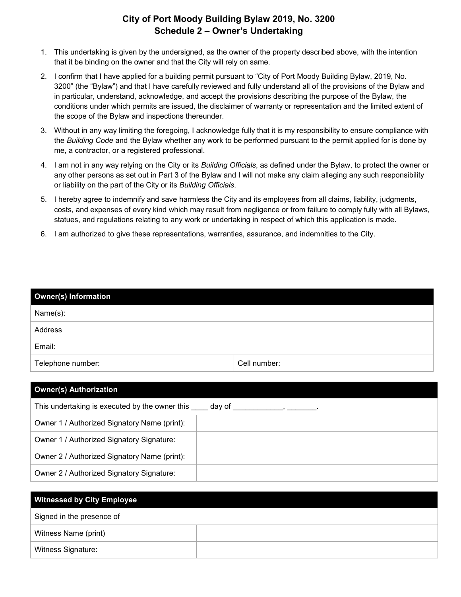### **City of Port Moody Building Bylaw 2019, No. 3200 Schedule 2 – Owner's Undertaking**

- 1. This undertaking is given by the undersigned, as the owner of the property described above, with the intention that it be binding on the owner and that the City will rely on same.
- 2. I confirm that I have applied for a building permit pursuant to "City of Port Moody Building Bylaw, 2019, No. 3200" (the "Bylaw") and that I have carefully reviewed and fully understand all of the provisions of the Bylaw and in particular, understand, acknowledge, and accept the provisions describing the purpose of the Bylaw, the conditions under which permits are issued, the disclaimer of warranty or representation and the limited extent of the scope of the Bylaw and inspections thereunder.
- 3. Without in any way limiting the foregoing, I acknowledge fully that it is my responsibility to ensure compliance with the *Building Code* and the Bylaw whether any work to be performed pursuant to the permit applied for is done by me, a contractor, or a registered professional.
- 4. I am not in any way relying on the City or its *Building Officials*, as defined under the Bylaw, to protect the owner or any other persons as set out in Part 3 of the Bylaw and I will not make any claim alleging any such responsibility or liability on the part of the City or its *Building Officials*.
- 5. I hereby agree to indemnify and save harmless the City and its employees from all claims, liability, judgments, costs, and expenses of every kind which may result from negligence or from failure to comply fully with all Bylaws, statues, and regulations relating to any work or undertaking in respect of which this application is made.
- 6. I am authorized to give these representations, warranties, assurance, and indemnities to the City.

| <b>Owner(s) Information</b> |              |  |  |  |
|-----------------------------|--------------|--|--|--|
| Name(s):                    |              |  |  |  |
| Address                     |              |  |  |  |
| Email:                      |              |  |  |  |
| Telephone number:           | Cell number: |  |  |  |

| <b>Owner(s) Authorization</b>                         |  |  |  |  |
|-------------------------------------------------------|--|--|--|--|
| This undertaking is executed by the owner this day of |  |  |  |  |
| Owner 1 / Authorized Signatory Name (print):          |  |  |  |  |
| Owner 1 / Authorized Signatory Signature:             |  |  |  |  |
| Owner 2 / Authorized Signatory Name (print):          |  |  |  |  |
| Owner 2 / Authorized Signatory Signature:             |  |  |  |  |

| <b>Witnessed by City Employee</b> |  |  |  |  |
|-----------------------------------|--|--|--|--|
| Signed in the presence of         |  |  |  |  |
| Witness Name (print)              |  |  |  |  |
| <b>Witness Signature:</b>         |  |  |  |  |